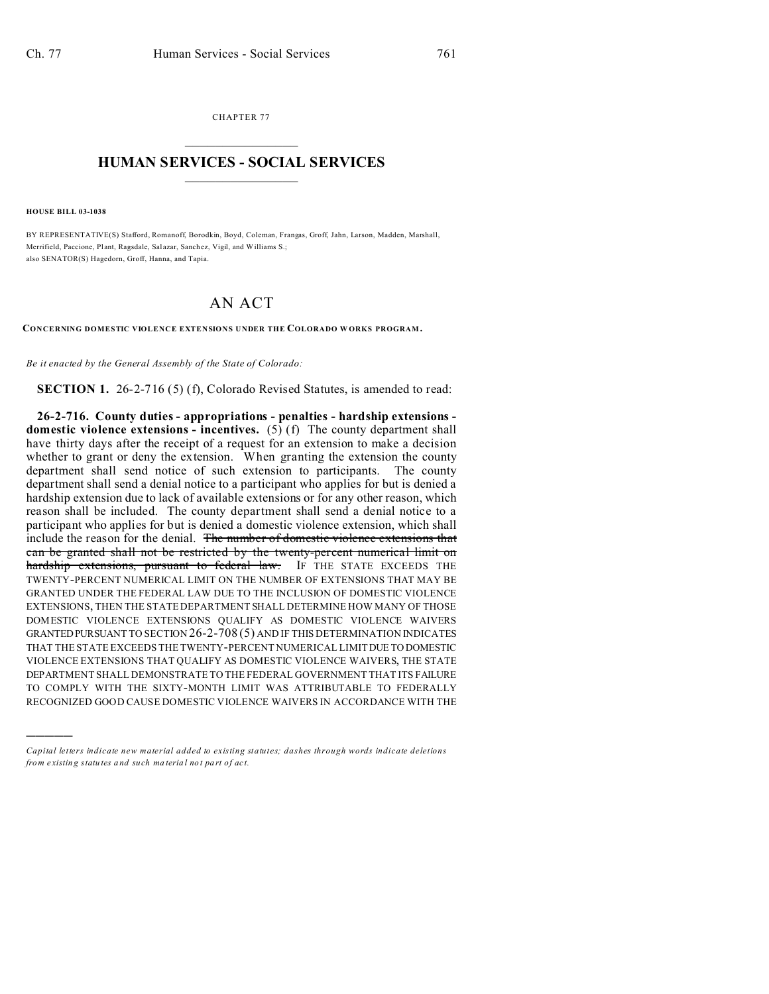CHAPTER 77  $\overline{\phantom{a}}$  , where  $\overline{\phantom{a}}$ 

## **HUMAN SERVICES - SOCIAL SERVICES**  $\frac{1}{2}$  ,  $\frac{1}{2}$  ,  $\frac{1}{2}$  ,  $\frac{1}{2}$  ,  $\frac{1}{2}$  ,  $\frac{1}{2}$  ,  $\frac{1}{2}$

**HOUSE BILL 03-1038**

)))))

BY REPRESENTATIVE(S) Stafford, Romanoff, Borodkin, Boyd, Coleman, Frangas, Groff, Jahn, Larson, Madden, Marshall, Merrifield, Paccione, Plant, Ragsdale, Salazar, Sanchez, Vigil, and Williams S.; also SENATOR(S) Hagedorn, Groff, Hanna, and Tapia.

## AN ACT

**CONCERNING DOMESTIC VIOLENCE EXTENSIONS UNDER THE COLORADO W ORKS PROGRAM .**

*Be it enacted by the General Assembly of the State of Colorado:*

**SECTION 1.** 26-2-716 (5) (f), Colorado Revised Statutes, is amended to read:

**26-2-716. County duties - appropriations - penalties - hardship extensions domestic violence extensions - incentives.** (5) (f) The county department shall have thirty days after the receipt of a request for an extension to make a decision whether to grant or deny the extension. When granting the extension the county department shall send notice of such extension to participants. The county department shall send a denial notice to a participant who applies for but is denied a hardship extension due to lack of available extensions or for any other reason, which reason shall be included. The county department shall send a denial notice to a participant who applies for but is denied a domestic violence extension, which shall include the reason for the denial. The number of domestic violence extensions that can be granted shall not be restricted by the twenty-percent numerical limit on hardship extensions, pursuant to federal law. IF THE STATE EXCEEDS THE TWENTY-PERCENT NUMERICAL LIMIT ON THE NUMBER OF EXTENSIONS THAT MAY BE GRANTED UNDER THE FEDERAL LAW DUE TO THE INCLUSION OF DOMESTIC VIOLENCE EXTENSIONS, THEN THE STATE DEPARTMENT SHALL DETERMINE HOW MANY OF THOSE DOMESTIC VIOLENCE EXTENSIONS QUALIFY AS DOMESTIC VIOLENCE WAIVERS GRANTEDPURSUANT TO SECTION 26-2-708 (5) AND IF THIS DETERMINATION INDICATES THAT THE STATE EXCEEDS THE TWENTY-PERCENT NUMERICAL LIMIT DUE TO DOMESTIC VIOLENCE EXTENSIONS THAT QUALIFY AS DOMESTIC VIOLENCE WAIVERS, THE STATE DEPARTMENT SHALL DEMONSTRATE TO THE FEDERAL GOVERNMENT THAT ITS FAILURE TO COMPLY WITH THE SIXTY-MONTH LIMIT WAS ATTRIBUTABLE TO FEDERALLY RECOGNIZED GOOD CAUSE DOMESTIC VIOLENCE WAIVERS IN ACCORDANCE WITH THE

*Capital letters indicate new material added to existing statutes; dashes through words indicate deletions from e xistin g statu tes a nd such ma teria l no t pa rt of ac t.*